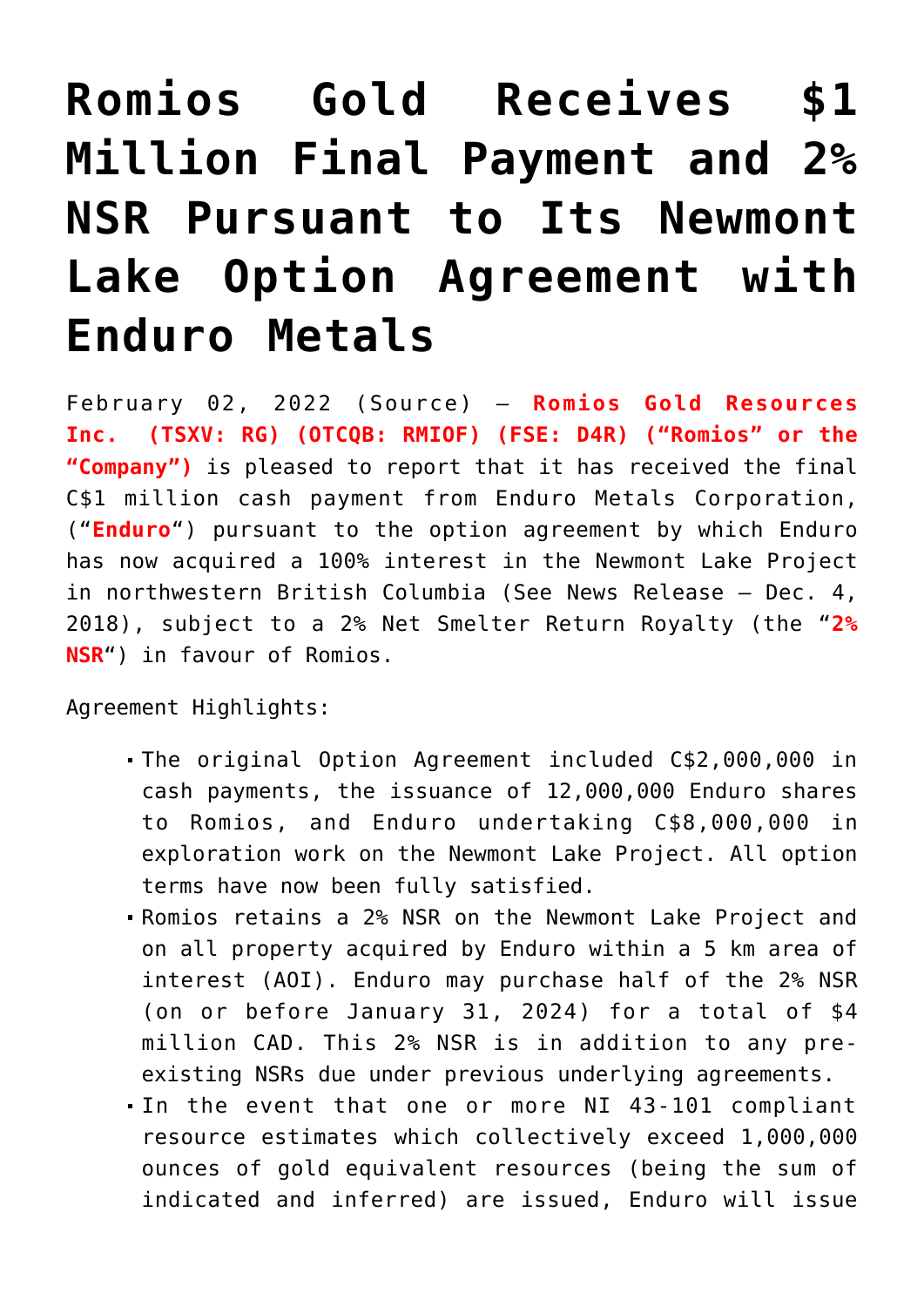## **[Romios Gold Receives \\$1](https://investorintel.com/markets/gold-silver-base-metals/gold-precious-metals-news/romios-gold-receives-1-million-final-payment-and-2-nsr-pursuant-to-its-newmont-lake-option-agreement-with-enduro-metals/) [Million Final Payment and 2%](https://investorintel.com/markets/gold-silver-base-metals/gold-precious-metals-news/romios-gold-receives-1-million-final-payment-and-2-nsr-pursuant-to-its-newmont-lake-option-agreement-with-enduro-metals/) [NSR Pursuant to Its Newmont](https://investorintel.com/markets/gold-silver-base-metals/gold-precious-metals-news/romios-gold-receives-1-million-final-payment-and-2-nsr-pursuant-to-its-newmont-lake-option-agreement-with-enduro-metals/) [Lake Option Agreement with](https://investorintel.com/markets/gold-silver-base-metals/gold-precious-metals-news/romios-gold-receives-1-million-final-payment-and-2-nsr-pursuant-to-its-newmont-lake-option-agreement-with-enduro-metals/) [Enduro Metals](https://investorintel.com/markets/gold-silver-base-metals/gold-precious-metals-news/romios-gold-receives-1-million-final-payment-and-2-nsr-pursuant-to-its-newmont-lake-option-agreement-with-enduro-metals/)**

February 02, 2022 ([Source](https://www.newsfilecorp.com/release/112493)) — **Romios Gold Resources Inc. (TSXV: RG) (OTCQB: RMIOF) (FSE: D4R) ("Romios" or the "Company")** is pleased to report that it has received the final C\$1 million cash payment from Enduro Metals Corporation, ("**Enduro**") pursuant to the option agreement by which Enduro has now acquired a 100% interest in the Newmont Lake Project in northwestern British Columbia ([See News Release – Dec. 4,](https://www.newsfilecorp.com/redirect/q3K1ato8Wb) [2018](https://www.newsfilecorp.com/redirect/q3K1ato8Wb)), subject to a 2% Net Smelter Return Royalty (the "**2% NSR**") in favour of Romios.

Agreement Highlights:

- The original Option Agreement included C\$2,000,000 in cash payments, the issuance of 12,000,000 Enduro shares to Romios, and Enduro undertaking C\$8,000,000 in exploration work on the Newmont Lake Project. All option terms have now been fully satisfied.
- Romios retains a 2% NSR on the Newmont Lake Project and on all property acquired by Enduro within a 5 km area of interest (AOI). Enduro may purchase half of the 2% NSR (on or before January 31, 2024) for a total of \$4 million CAD. This 2% NSR is in addition to any preexisting NSRs due under previous underlying agreements.
- In the event that one or more NI 43-101 compliant resource estimates which collectively exceed 1,000,000 ounces of gold equivalent resources (being the sum of indicated and inferred) are issued, Enduro will issue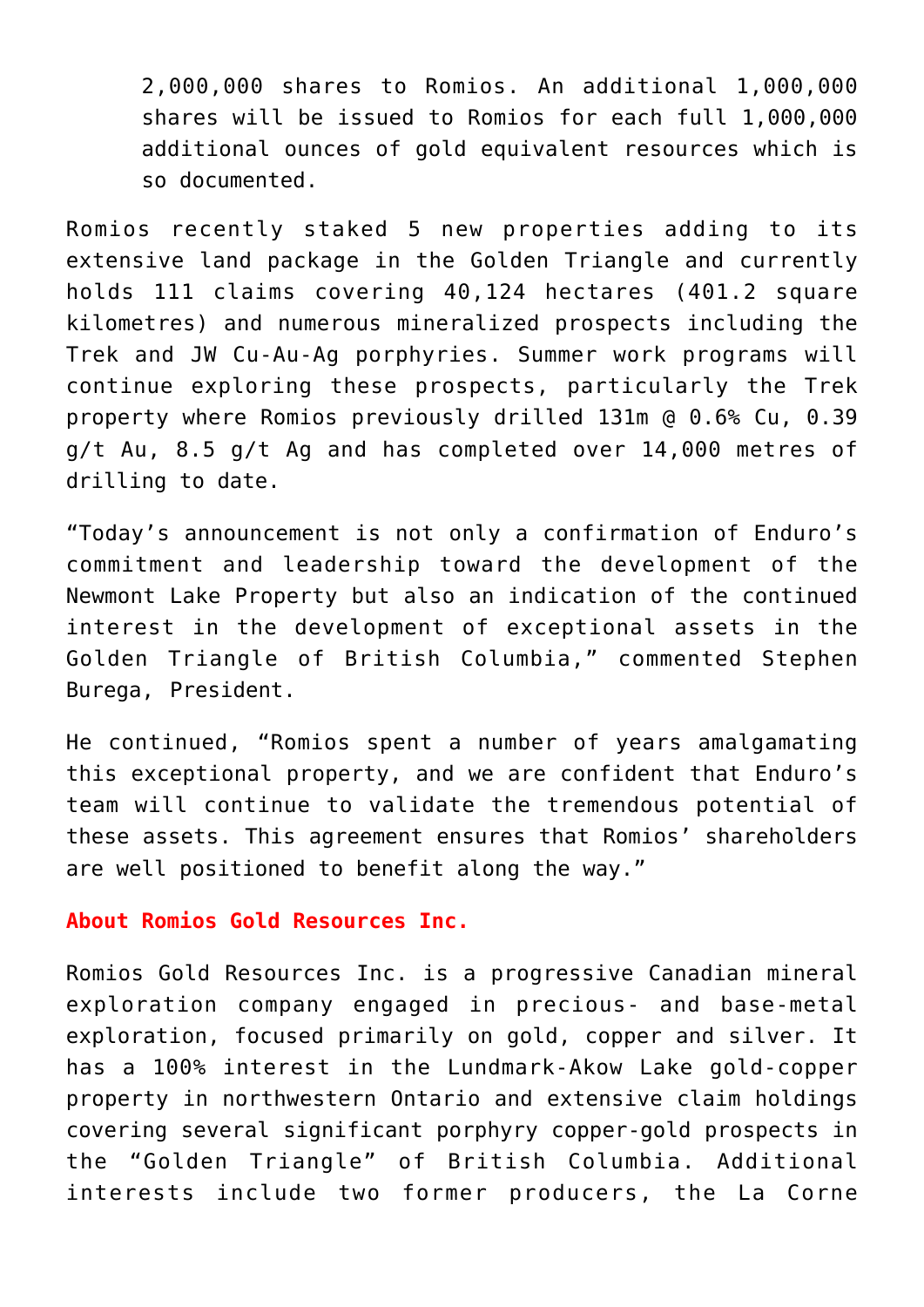2,000,000 shares to Romios. An additional 1,000,000 shares will be issued to Romios for each full 1,000,000 additional ounces of gold equivalent resources which is so documented.

Romios recently staked 5 new properties adding to its extensive land package in the Golden Triangle and currently holds 111 claims covering 40,124 hectares (401.2 square kilometres) and numerous mineralized prospects including the Trek and JW Cu-Au-Ag porphyries. Summer work programs will continue exploring these prospects, particularly the Trek property where Romios previously drilled 131m @ 0.6% Cu, 0.39 g/t Au, 8.5 g/t Ag and has completed over 14,000 metres of drilling to date.

"Today's announcement is not only a confirmation of Enduro's commitment and leadership toward the development of the Newmont Lake Property but also an indication of the continued interest in the development of exceptional assets in the Golden Triangle of British Columbia," commented Stephen Burega, President.

He continued, "Romios spent a number of years amalgamating this exceptional property, and we are confident that Enduro's team will continue to validate the tremendous potential of these assets. This agreement ensures that Romios' shareholders are well positioned to benefit along the way."

## **About Romios Gold Resources Inc.**

Romios Gold Resources Inc. is a progressive Canadian mineral exploration company engaged in precious- and base-metal exploration, focused primarily on gold, copper and silver. It has a 100% interest in the Lundmark-Akow Lake gold-copper property in northwestern Ontario and extensive claim holdings covering several significant porphyry copper-gold prospects in the "Golden Triangle" of British Columbia. Additional interests include two former producers, the La Corne